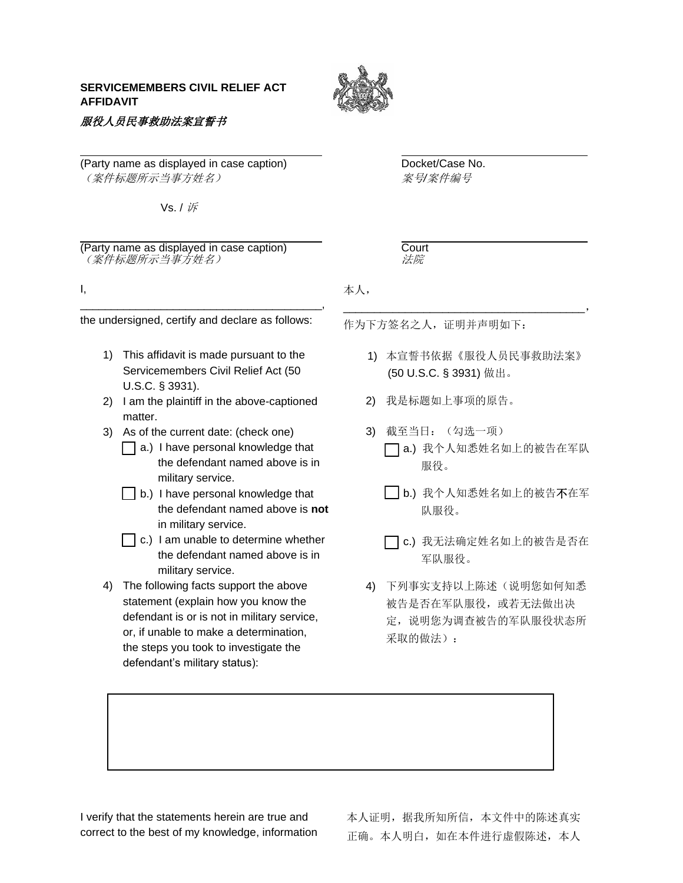## **SERVICEMEMBERS CIVIL RELIEF ACT AFFIDAVIT**

服役人员民事救助法案宣誓书



(Party name as displayed in case caption) Docket/Case No. (案件标题所示当事方姓名) 案号*/*案件编号

Vs. / 诉

(Party name as displayed in case caption) Court (案件标题所示当事方姓名) 法院

I,

\_\_\_\_\_\_\_\_\_\_\_\_\_\_\_\_\_\_\_\_\_\_\_\_\_\_\_\_\_\_\_\_\_\_\_\_\_\_\_, the undersigned, certify and declare as follows:

- 1) This affidavit is made pursuant to the Servicemembers Civil Relief Act (50 U.S.C. § 3931).
- 2) I am the plaintiff in the above-captioned matter.
- 3) As of the current date: (check one)
	- $\Box$  a.) I have personal knowledge that the defendant named above is in military service.
	- $|$  b.) I have personal knowledge that the defendant named above is **not**  in military service.
	- $\Box$  c.) I am unable to determine whether the defendant named above is in military service.
- 4) The following facts support the above statement (explain how you know the defendant is or is not in military service, or, if unable to make a determination, the steps you took to investigate the defendant's military status):

本人,

作为下方签名之人,证明并声明如下:

1) 本宣誓书依据《服役人员民事救助法案》 (50 U.S.C. § 3931) 做出。

\_\_\_\_\_\_\_\_\_\_\_\_\_\_\_\_\_\_\_\_\_\_\_\_\_\_\_\_\_\_\_\_\_\_\_\_\_\_\_,

- 2) 我是标题如上事项的原告。
- 3) 截至当日:(勾选一项) a.) 我个人知悉姓名如上的被告在军队 服役。
	- **b.**) 我个人知悉姓名如上的被告不在军 队服役。

□ c.) 我无法确定姓名如上的被告是否在 军队服役。

4) 下列事实支持以上陈述(说明您如何知悉 被告是否在军队服役,或若无法做出决 定,说明您为调查被告的军队服役状态所 采取的做法):

I verify that the statements herein are true and correct to the best of my knowledge, information 本人证明,据我所知所信,本文件中的陈述真实 正确。本人明白,如在本件进行虚假陈述,本人